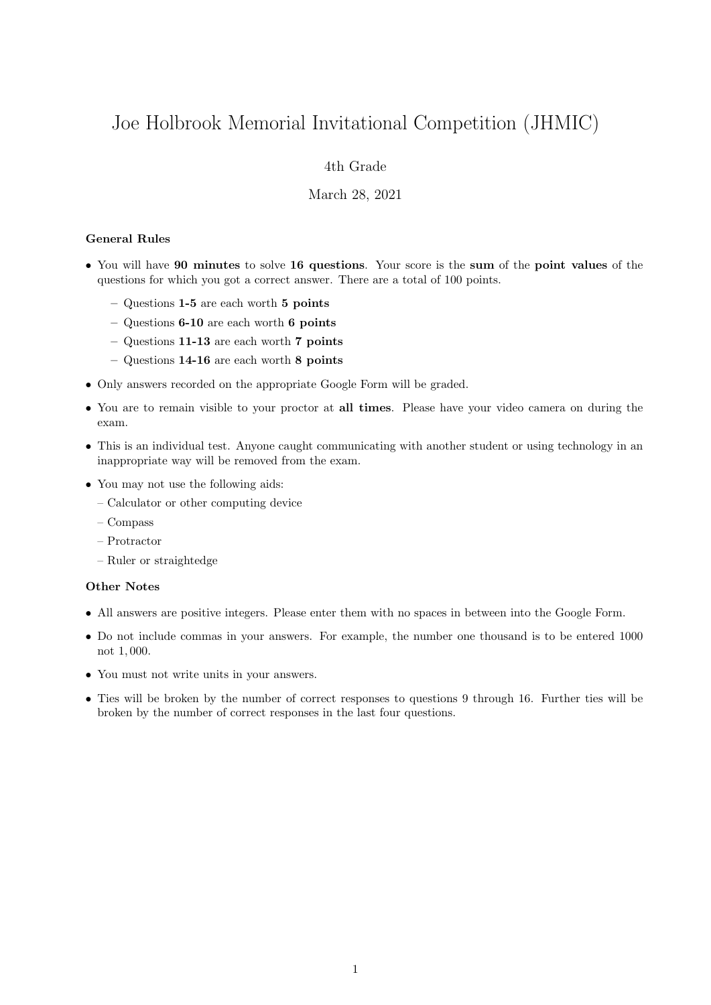# Joe Holbrook Memorial Invitational Competition (JHMIC)

# 4th Grade

## March 28, 2021

#### General Rules

- You will have 90 minutes to solve 16 questions. Your score is the sum of the point values of the questions for which you got a correct answer. There are a total of 100 points.
	- Questions 1-5 are each worth 5 points
	- Questions 6-10 are each worth 6 points
	- Questions 11-13 are each worth 7 points
	- Questions 14-16 are each worth 8 points
- Only answers recorded on the appropriate Google Form will be graded.
- You are to remain visible to your proctor at all times. Please have your video camera on during the exam.
- This is an individual test. Anyone caught communicating with another student or using technology in an inappropriate way will be removed from the exam.
- You may not use the following aids:
	- Calculator or other computing device
	- Compass
	- Protractor
	- Ruler or straightedge

### Other Notes

- All answers are positive integers. Please enter them with no spaces in between into the Google Form.
- Do not include commas in your answers. For example, the number one thousand is to be entered 1000 not 1, 000.
- You must not write units in your answers.
- Ties will be broken by the number of correct responses to questions 9 through 16. Further ties will be broken by the number of correct responses in the last four questions.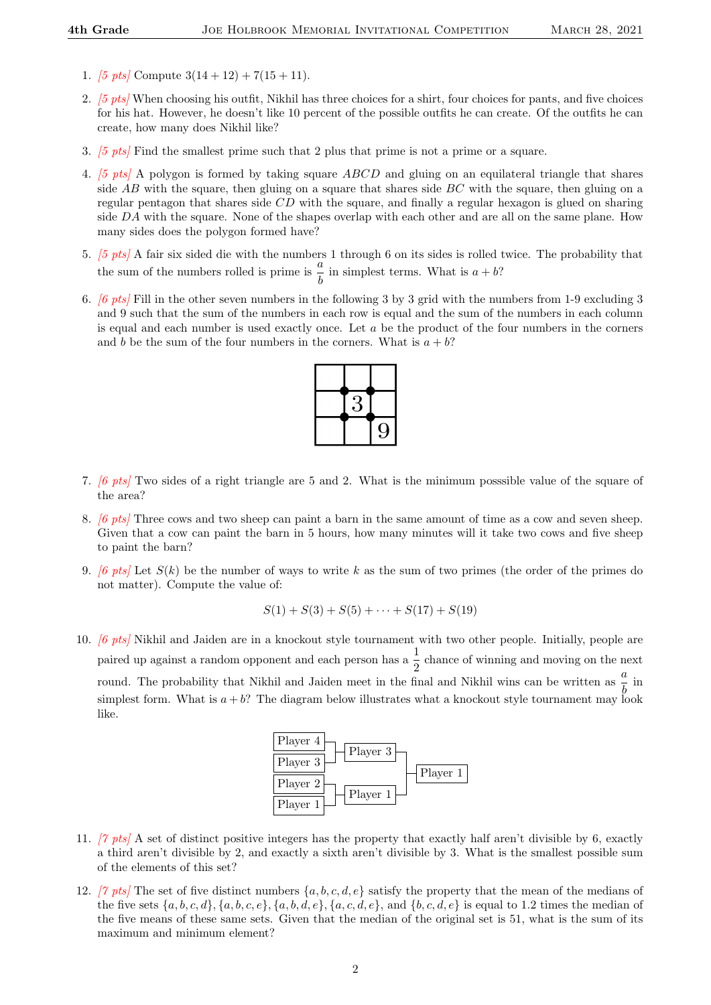- 1. [5 pts] Compute  $3(14+12) + 7(15+11)$ .
- 2. [5 pts] When choosing his outfit, Nikhil has three choices for a shirt, four choices for pants, and five choices for his hat. However, he doesn't like 10 percent of the possible outfits he can create. Of the outfits he can create, how many does Nikhil like?
- 3. [5 pts] Find the smallest prime such that 2 plus that prime is not a prime or a square.
- 4. [5 pts] A polygon is formed by taking square ABCD and gluing on an equilateral triangle that shares side  $AB$  with the square, then gluing on a square that shares side  $BC$  with the square, then gluing on a regular pentagon that shares side CD with the square, and finally a regular hexagon is glued on sharing side DA with the square. None of the shapes overlap with each other and are all on the same plane. How many sides does the polygon formed have?
- 5. [5 pts] A fair six sided die with the numbers 1 through 6 on its sides is rolled twice. The probability that the sum of the numbers rolled is prime is  $\frac{a}{b}$  in simplest terms. What is  $a + b$ ?
- 6. [6 pts] Fill in the other seven numbers in the following 3 by 3 grid with the numbers from 1-9 excluding 3 and 9 such that the sum of the numbers in each row is equal and the sum of the numbers in each column is equal and each number is used exactly once. Let  $a$  be the product of the four numbers in the corners and b be the sum of the four numbers in the corners. What is  $a + b$ ?



- 7. [6 pts] Two sides of a right triangle are 5 and 2. What is the minimum posssible value of the square of the area?
- 8. [6 pts] Three cows and two sheep can paint a barn in the same amount of time as a cow and seven sheep. Given that a cow can paint the barn in 5 hours, how many minutes will it take two cows and five sheep to paint the barn?
- 9. [6 pts] Let  $S(k)$  be the number of ways to write k as the sum of two primes (the order of the primes do not matter). Compute the value of:

$$
S(1) + S(3) + S(5) + \cdots + S(17) + S(19)
$$

10. [6 pts] Nikhil and Jaiden are in a knockout style tournament with two other people. Initially, people are paired up against a random opponent and each person has a  $\frac{1}{2}$  chance of winning and moving on the next round. The probability that Nikhil and Jaiden meet in the final and Nikhil wins can be written as  $\frac{a}{b}$  in simplest form. What is  $a + b$ ? The diagram below illustrates what a knockout style tournament may look like.



- 11. [7 pts] A set of distinct positive integers has the property that exactly half aren't divisible by 6, exactly a third aren't divisible by 2, and exactly a sixth aren't divisible by 3. What is the smallest possible sum of the elements of this set?
- 12. [7 pts] The set of five distinct numbers  $\{a, b, c, d, e\}$  satisfy the property that the mean of the medians of the five sets  $\{a, b, c, d\}$ ,  $\{a, b, c, e\}$ ,  $\{a, b, d, e\}$ ,  $\{a, c, d, e\}$ , and  $\{b, c, d, e\}$  is equal to 1.2 times the median of the five means of these same sets. Given that the median of the original set is 51, what is the sum of its maximum and minimum element?